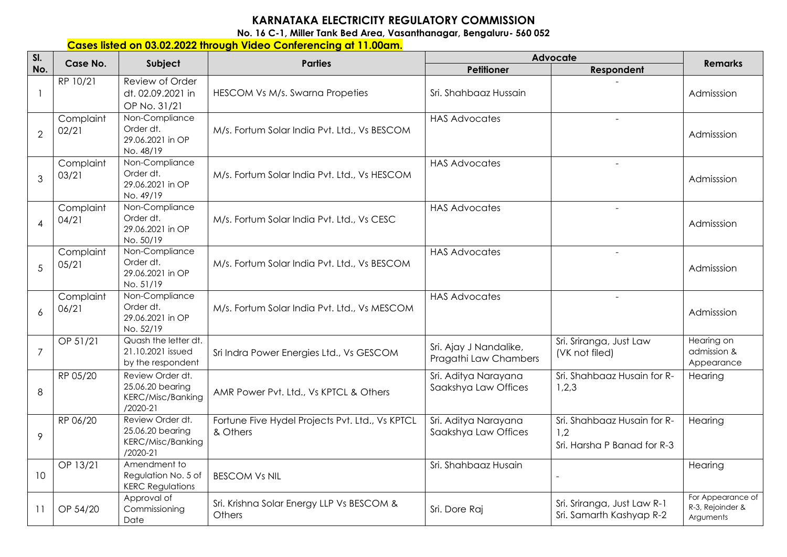## **KARNATAKA ELECTRICITY REGULATORY COMMISSION**

**No. 16 C-1, Miller Tank Bed Area, Vasanthanagar, Bengaluru- 560 052** 

## **Cases listed on 03.02.2022 through Video Conferencing at 11.00am.**

| SI.<br>No.     | Case No.           | Subject                                                                          | <b>Parties</b>                                              | Advocate                                        |                                                                   | <b>Remarks</b>                                     |
|----------------|--------------------|----------------------------------------------------------------------------------|-------------------------------------------------------------|-------------------------------------------------|-------------------------------------------------------------------|----------------------------------------------------|
|                |                    |                                                                                  |                                                             | Petitioner                                      | Respondent                                                        |                                                    |
| $\mathbf{1}$   | RP 10/21           | Review of Order<br>dt. 02.09.2021 in<br>OP No. 31/21                             | <b>HESCOM Vs M/s. Swarna Propeties</b>                      | Sri. Shahbaaz Hussain                           |                                                                   | Admisssion                                         |
| $\overline{2}$ | Complaint<br>02/21 | Non-Compliance<br>Order dt.<br>29.06.2021 in OP<br>No. 48/19                     | M/s. Fortum Solar India Pvt. Ltd., Vs BESCOM                | <b>HAS Advocates</b>                            | $\sim$                                                            | Admisssion                                         |
| 3              | Complaint<br>03/21 | Non-Compliance<br>Order dt.<br>29.06.2021 in OP<br>No. 49/19                     | M/s. Fortum Solar India Pvt. Ltd., Vs HESCOM                | <b>HAS Advocates</b>                            | $\overline{a}$                                                    | Admisssion                                         |
| $\overline{4}$ | Complaint<br>04/21 | Non-Compliance<br>Order dt.<br>29.06.2021 in OP<br>No. 50/19                     | M/s. Fortum Solar India Pvt. Ltd., Vs CESC                  | <b>HAS Advocates</b>                            | $\sim$                                                            | Admisssion                                         |
| 5              | Complaint<br>05/21 | Non-Compliance<br>Order dt.<br>29.06.2021 in OP<br>No. 51/19                     | M/s. Fortum Solar India Pvt. Ltd., Vs BESCOM                | <b>HAS Advocates</b>                            | $\sim$                                                            | Admisssion                                         |
| 6              | Complaint<br>06/21 | Non-Compliance<br>Order dt.<br>29.06.2021 in OP<br>No. 52/19                     | M/s. Fortum Solar India Pvt. Ltd., Vs MESCOM                | <b>HAS Advocates</b>                            |                                                                   | Admisssion                                         |
| $\overline{7}$ | OP 51/21           | Quash the letter dt.<br>21.10.2021 issued<br>by the respondent                   | Sri Indra Power Energies Ltd., Vs GESCOM                    | Sri. Ajay J Nandalike,<br>Pragathi Law Chambers | Sri. Sriranga, Just Law<br>(VK not filed)                         | Hearing on<br>admission &<br>Appearance            |
| 8              | RP 05/20           | Review Order dt.<br>25.06.20 bearing<br><b>KERC/Misc/Banking</b><br>$/2020 - 21$ | AMR Power Pvt. Ltd., Vs KPTCL & Others                      | Sri. Aditya Narayana<br>Saakshya Law Offices    | Sri. Shahbaaz Husain for R-<br>1,2,3                              | Hearing                                            |
| 9              | RP 06/20           | Review Order dt.<br>25.06.20 bearing<br><b>KERC/Misc/Banking</b><br>/2020-21     | Fortune Five Hydel Projects Pvt. Ltd., Vs KPTCL<br>& Others | Sri. Aditya Narayana<br>Saakshya Law Offices    | Sri. Shahbaaz Husain for R-<br>1,2<br>Sri. Harsha P Banad for R-3 | Hearing                                            |
| 10             | OP 13/21           | Amendment to<br>Regulation No. 5 of<br><b>KERC Regulations</b>                   | <b>BESCOM Vs NIL</b>                                        | Sri. Shahbaaz Husain                            |                                                                   | Hearing                                            |
| 11             | OP 54/20           | Approval of<br>Commissioning<br>Date                                             | Sri. Krishna Solar Energy LLP Vs BESCOM &<br>Others         | Sri. Dore Raj                                   | Sri. Sriranga, Just Law R-1<br>Sri. Samarth Kashyap R-2           | For Appearance of<br>R-3, Rejoinder &<br>Arguments |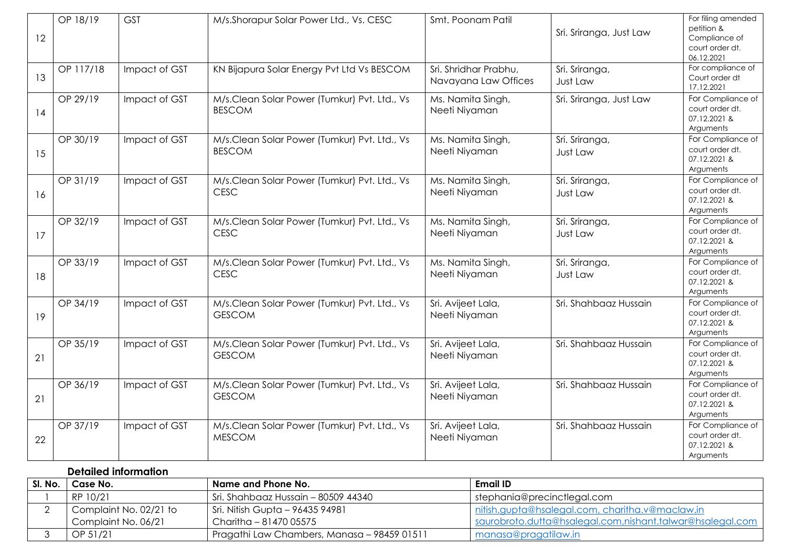| 12 | OP 18/19  | <b>GST</b>    | M/s.Shorapur Solar Power Ltd., Vs. CESC                       | Smt. Poonam Patil                             | Sri. Sriranga, Just Law    | For filing amended<br>petition &<br>Compliance of<br>court order dt.<br>06.12.2021 |
|----|-----------|---------------|---------------------------------------------------------------|-----------------------------------------------|----------------------------|------------------------------------------------------------------------------------|
| 13 | OP 117/18 | Impact of GST | KN Bijapura Solar Energy Pvt Ltd Vs BESCOM                    | Sri. Shridhar Prabhu,<br>Navayana Law Offices | Sri. Sriranga,<br>Just Law | For compliance of<br>Court order dt<br>17.12.2021                                  |
| 14 | OP 29/19  | Impact of GST | M/s.Clean Solar Power (Tumkur) Pvt. Ltd., Vs<br><b>BESCOM</b> | Ms. Namita Singh,<br>Neeti Niyaman            | Sri. Sriranga, Just Law    | For Compliance of<br>court order dt.<br>07.12.2021 &<br>Arguments                  |
| 15 | OP 30/19  | Impact of GST | M/s.Clean Solar Power (Tumkur) Pvt. Ltd., Vs<br><b>BESCOM</b> | Ms. Namita Singh,<br>Neeti Niyaman            | Sri. Sriranga,<br>Just Law | For Compliance of<br>court order dt.<br>07.12.2021 &<br>Arguments                  |
| 16 | OP 31/19  | Impact of GST | M/s.Clean Solar Power (Tumkur) Pvt. Ltd., Vs<br><b>CESC</b>   | Ms. Namita Singh,<br>Neeti Niyaman            | Sri. Sriranga,<br>Just Law | For Compliance of<br>court order dt.<br>07.12.2021 &<br>Arguments                  |
| 17 | OP 32/19  | Impact of GST | M/s.Clean Solar Power (Tumkur) Pvt. Ltd., Vs<br><b>CESC</b>   | Ms. Namita Singh,<br>Neeti Niyaman            | Sri. Sriranga,<br>Just Law | For Compliance of<br>court order dt.<br>07.12.2021 &<br>Arguments                  |
| 18 | OP 33/19  | Impact of GST | M/s.Clean Solar Power (Tumkur) Pvt. Ltd., Vs<br><b>CESC</b>   | Ms. Namita Singh,<br>Neeti Niyaman            | Sri. Sriranga,<br>Just Law | For Compliance of<br>court order dt.<br>07.12.2021 &<br>Arguments                  |
| 19 | OP 34/19  | Impact of GST | M/s.Clean Solar Power (Tumkur) Pvt. Ltd., Vs<br><b>GESCOM</b> | Sri. Avijeet Lala,<br>Neeti Niyaman           | Sri. Shahbaaz Hussain      | For Compliance of<br>court order dt.<br>07.12.2021 &<br>Arguments                  |
| 21 | OP 35/19  | Impact of GST | M/s.Clean Solar Power (Tumkur) Pvt. Ltd., Vs<br><b>GESCOM</b> | Sri. Avijeet Lala,<br>Neeti Niyaman           | Sri. Shahbaaz Hussain      | For Compliance of<br>court order dt.<br>07.12.2021 &<br>Arguments                  |
| 21 | OP 36/19  | Impact of GST | M/s.Clean Solar Power (Tumkur) Pvt. Ltd., Vs<br><b>GESCOM</b> | Sri. Avijeet Lala,<br>Neeti Niyaman           | Sri. Shahbaaz Hussain      | For Compliance of<br>court order dt.<br>07.12.2021 &<br>Arguments                  |
| 22 | OP 37/19  | Impact of GST | M/s.Clean Solar Power (Tumkur) Pvt. Ltd., Vs<br><b>MESCOM</b> | Sri. Avijeet Lala,<br>Neeti Niyaman           | Sri. Shahbaaz Hussain      | For Compliance of<br>court order dt.<br>07.12.2021 &<br>Arguments                  |

## **Detailed information**

| SI. No. | Case No.               | Name and Phone No.                          | Email ID                                                  |
|---------|------------------------|---------------------------------------------|-----------------------------------------------------------|
|         | RP 10/21               | Sri. Shahbaaz Hussain – 80509 44340         | stephania@precinctlegal.com                               |
|         | Complaint No. 02/21 to | Sri. Nitish Gupta - 96435 94981             | Initish.gupta@hsalegal.com, charitha.v@maclaw.in          |
|         | Complaint No. 06/21    | Charitha - 81470 05575                      | saurobroto.dutta@hsalegal.com,nishant.talwar@hsalegal.com |
|         | OP 51/21               | Pragathi Law Chambers, Manasa - 98459 01511 | manasa@pragatilaw.in                                      |